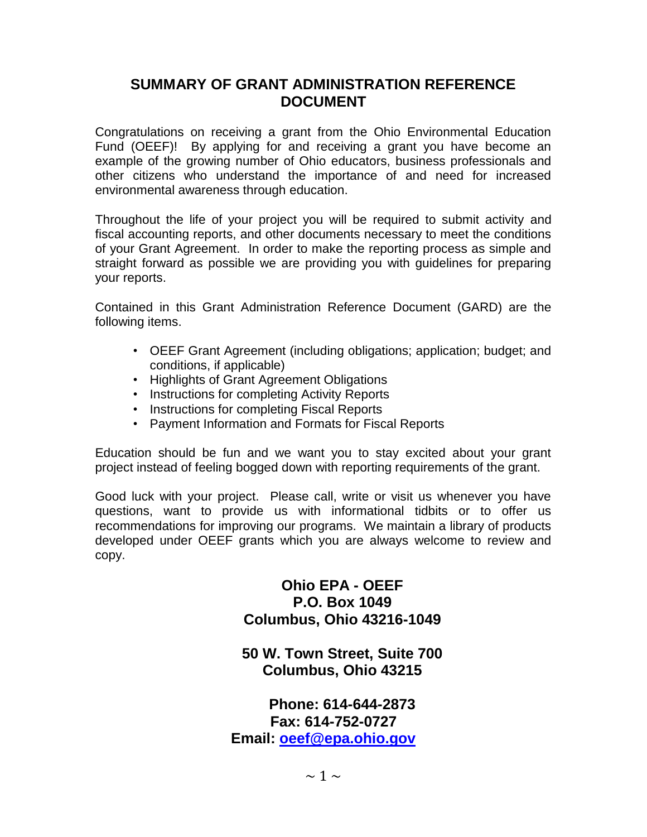## **SUMMARY OF GRANT ADMINISTRATION REFERENCE DOCUMENT**

Congratulations on receiving a grant from the Ohio Environmental Education Fund (OEEF)! By applying for and receiving a grant you have become an example of the growing number of Ohio educators, business professionals and other citizens who understand the importance of and need for increased environmental awareness through education.

Throughout the life of your project you will be required to submit activity and fiscal accounting reports, and other documents necessary to meet the conditions of your Grant Agreement. In order to make the reporting process as simple and straight forward as possible we are providing you with guidelines for preparing your reports.

Contained in this Grant Administration Reference Document (GARD) are the following items.

- OEEF Grant Agreement (including obligations; application; budget; and conditions, if applicable)
- Highlights of Grant Agreement Obligations
- Instructions for completing Activity Reports
- Instructions for completing Fiscal Reports
- Payment Information and Formats for Fiscal Reports

Education should be fun and we want you to stay excited about your grant project instead of feeling bogged down with reporting requirements of the grant.

Good luck with your project. Please call, write or visit us whenever you have questions, want to provide us with informational tidbits or to offer us recommendations for improving our programs. We maintain a library of products developed under OEEF grants which you are always welcome to review and copy.

> **Ohio EPA - OEEF P.O. Box 1049 Columbus, Ohio 43216-1049**

**50 W. Town Street, Suite 700 Columbus, Ohio 43215**

**Phone: 614-644-2873 Fax: 614-752-0727 Email: [oeef@epa.ohio.gov](mailto:oeef@epa.ohio.gov)**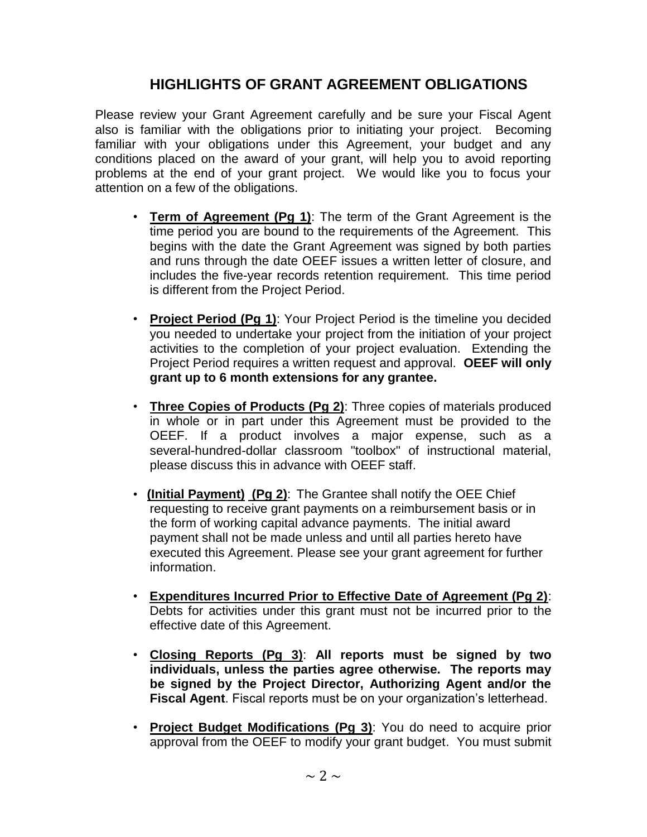## **HIGHLIGHTS OF GRANT AGREEMENT OBLIGATIONS**

Please review your Grant Agreement carefully and be sure your Fiscal Agent also is familiar with the obligations prior to initiating your project. Becoming familiar with your obligations under this Agreement, your budget and any conditions placed on the award of your grant, will help you to avoid reporting problems at the end of your grant project. We would like you to focus your attention on a few of the obligations.

- **Term of Agreement (Pg 1)**: The term of the Grant Agreement is the time period you are bound to the requirements of the Agreement. This begins with the date the Grant Agreement was signed by both parties and runs through the date OEEF issues a written letter of closure, and includes the five-year records retention requirement. This time period is different from the Project Period.
- **Project Period (Pg 1)**: Your Project Period is the timeline you decided you needed to undertake your project from the initiation of your project activities to the completion of your project evaluation. Extending the Project Period requires a written request and approval. **OEEF will only grant up to 6 month extensions for any grantee.**
- **Three Copies of Products (Pg 2)**: Three copies of materials produced in whole or in part under this Agreement must be provided to the OEEF. If a product involves a major expense, such as a several-hundred-dollar classroom "toolbox" of instructional material, please discuss this in advance with OEEF staff.
- **(Initial Payment) (Pg 2)**: The Grantee shall notify the OEE Chief requesting to receive grant payments on a reimbursement basis or in the form of working capital advance payments. The initial award payment shall not be made unless and until all parties hereto have executed this Agreement. Please see your grant agreement for further information.
- **Expenditures Incurred Prior to Effective Date of Agreement (Pg 2)**: Debts for activities under this grant must not be incurred prior to the effective date of this Agreement.
- **Closing Reports (Pg 3)**: **All reports must be signed by two individuals, unless the parties agree otherwise. The reports may be signed by the Project Director, Authorizing Agent and/or the Fiscal Agent**. Fiscal reports must be on your organization's letterhead.
- **Project Budget Modifications (Pg 3)**: You do need to acquire prior approval from the OEEF to modify your grant budget. You must submit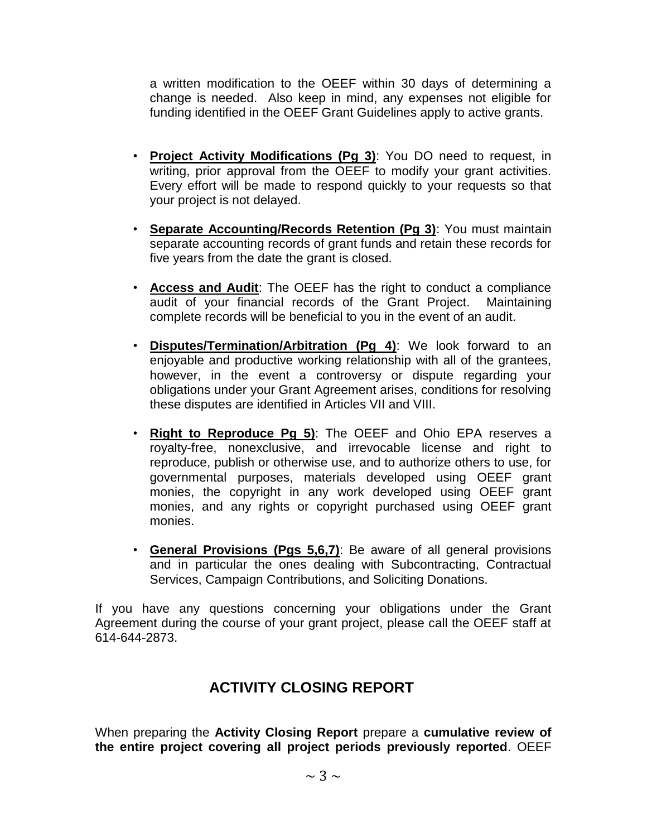a written modification to the OEEF within 30 days of determining a change is needed. Also keep in mind, any expenses not eligible for funding identified in the OEEF Grant Guidelines apply to active grants.

- **Project Activity Modifications (Pg 3)**: You DO need to request, in writing, prior approval from the OEEF to modify your grant activities. Every effort will be made to respond quickly to your requests so that your project is not delayed.
- **Separate Accounting/Records Retention (Pg 3)**: You must maintain separate accounting records of grant funds and retain these records for five years from the date the grant is closed.
- **Access and Audit**: The OEEF has the right to conduct a compliance audit of your financial records of the Grant Project. Maintaining complete records will be beneficial to you in the event of an audit.
- **Disputes/Termination/Arbitration (Pg 4)**: We look forward to an enjoyable and productive working relationship with all of the grantees, however, in the event a controversy or dispute regarding your obligations under your Grant Agreement arises, conditions for resolving these disputes are identified in Articles VII and VIII.
- **Right to Reproduce Pg 5)**: The OEEF and Ohio EPA reserves a royalty-free, nonexclusive, and irrevocable license and right to reproduce, publish or otherwise use, and to authorize others to use, for governmental purposes, materials developed using OEEF grant monies, the copyright in any work developed using OEEF grant monies, and any rights or copyright purchased using OEEF grant monies.
- **General Provisions (Pgs 5,6,7)**: Be aware of all general provisions and in particular the ones dealing with Subcontracting, Contractual Services, Campaign Contributions, and Soliciting Donations.

If you have any questions concerning your obligations under the Grant Agreement during the course of your grant project, please call the OEEF staff at 614-644-2873.

## **ACTIVITY CLOSING REPORT**

When preparing the **Activity Closing Report** prepare a **cumulative review of the entire project covering all project periods previously reported**. OEEF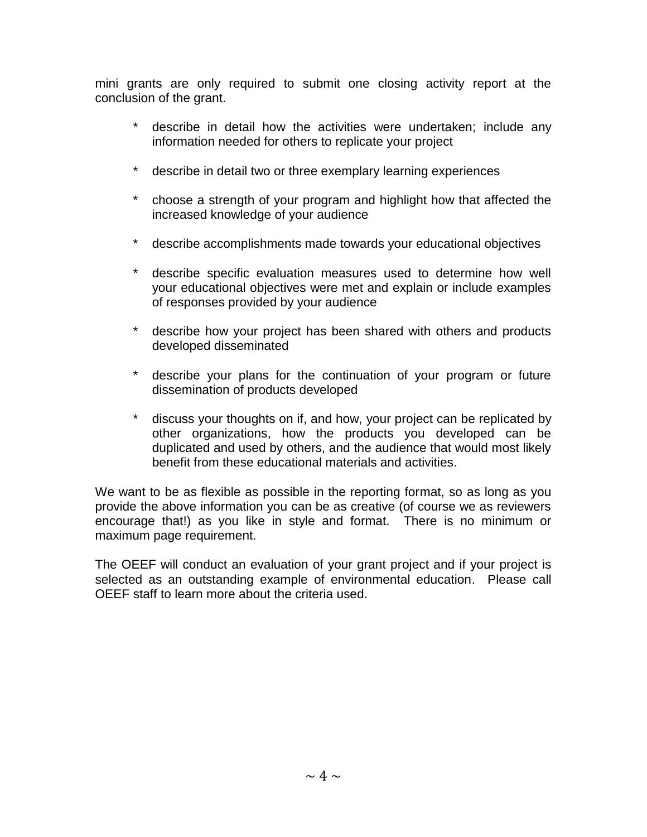mini grants are only required to submit one closing activity report at the conclusion of the grant.

- \* describe in detail how the activities were undertaken; include any information needed for others to replicate your project
- \* describe in detail two or three exemplary learning experiences
- \* choose a strength of your program and highlight how that affected the increased knowledge of your audience
- \* describe accomplishments made towards your educational objectives
- \* describe specific evaluation measures used to determine how well your educational objectives were met and explain or include examples of responses provided by your audience
- describe how your project has been shared with others and products developed disseminated
- \* describe your plans for the continuation of your program or future dissemination of products developed
- \* discuss your thoughts on if, and how, your project can be replicated by other organizations, how the products you developed can be duplicated and used by others, and the audience that would most likely benefit from these educational materials and activities.

We want to be as flexible as possible in the reporting format, so as long as you provide the above information you can be as creative (of course we as reviewers encourage that!) as you like in style and format. There is no minimum or maximum page requirement.

The OEEF will conduct an evaluation of your grant project and if your project is selected as an outstanding example of environmental education. Please call OEEF staff to learn more about the criteria used.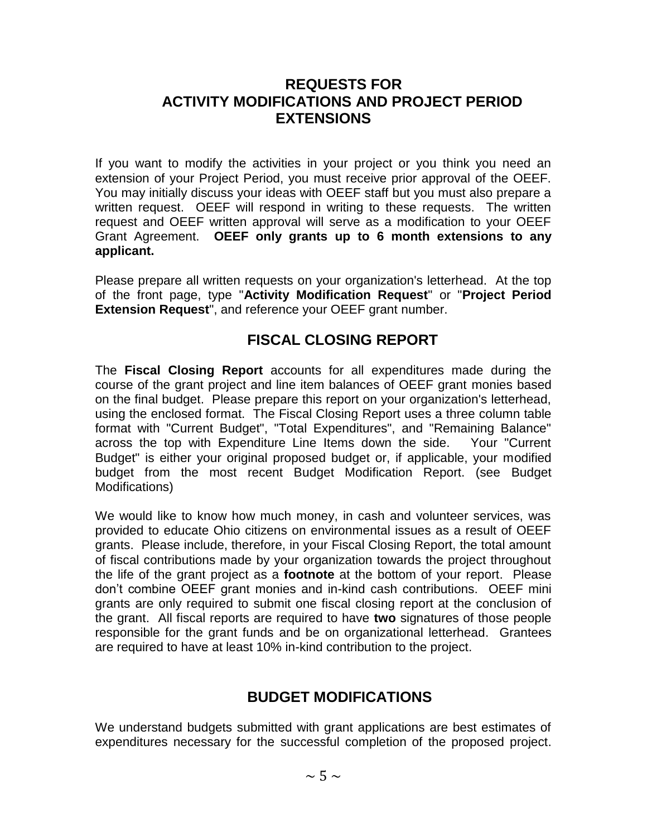## **REQUESTS FOR ACTIVITY MODIFICATIONS AND PROJECT PERIOD EXTENSIONS**

If you want to modify the activities in your project or you think you need an extension of your Project Period, you must receive prior approval of the OEEF. You may initially discuss your ideas with OEEF staff but you must also prepare a written request. OEEF will respond in writing to these requests. The written request and OEEF written approval will serve as a modification to your OEEF Grant Agreement. **OEEF only grants up to 6 month extensions to any applicant.** 

Please prepare all written requests on your organization's letterhead. At the top of the front page, type "**Activity Modification Request**" or "**Project Period Extension Request**", and reference your OEEF grant number.

## **FISCAL CLOSING REPORT**

The **Fiscal Closing Report** accounts for all expenditures made during the course of the grant project and line item balances of OEEF grant monies based on the final budget. Please prepare this report on your organization's letterhead, using the enclosed format. The Fiscal Closing Report uses a three column table format with "Current Budget", "Total Expenditures", and "Remaining Balance" across the top with Expenditure Line Items down the side. Your "Current Budget" is either your original proposed budget or, if applicable, your modified budget from the most recent Budget Modification Report. (see Budget Modifications)

We would like to know how much money, in cash and volunteer services, was provided to educate Ohio citizens on environmental issues as a result of OEEF grants. Please include, therefore, in your Fiscal Closing Report, the total amount of fiscal contributions made by your organization towards the project throughout the life of the grant project as a **footnote** at the bottom of your report. Please don't combine OEEF grant monies and in-kind cash contributions. OEEF mini grants are only required to submit one fiscal closing report at the conclusion of the grant. All fiscal reports are required to have **two** signatures of those people responsible for the grant funds and be on organizational letterhead. Grantees are required to have at least 10% in-kind contribution to the project.

## **BUDGET MODIFICATIONS**

We understand budgets submitted with grant applications are best estimates of expenditures necessary for the successful completion of the proposed project.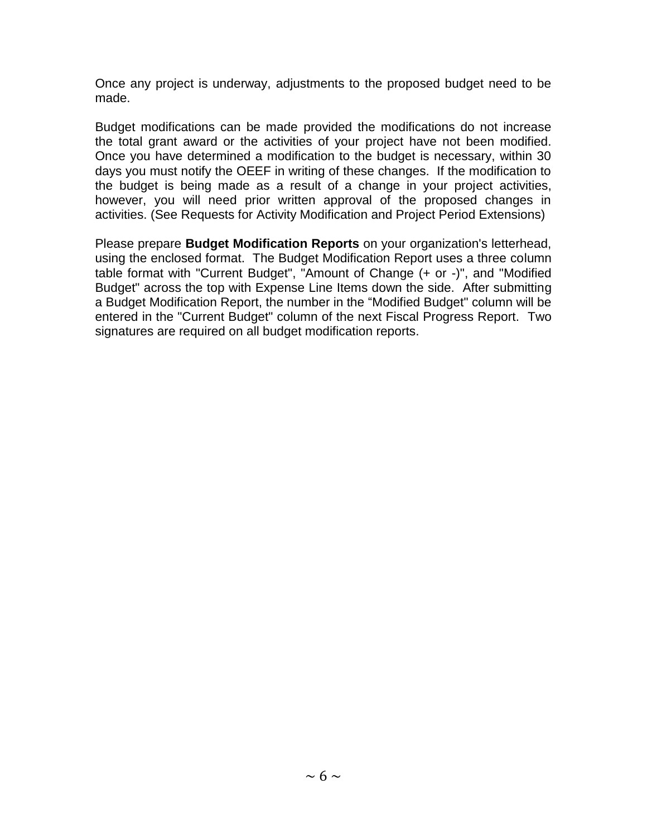Once any project is underway, adjustments to the proposed budget need to be made.

Budget modifications can be made provided the modifications do not increase the total grant award or the activities of your project have not been modified. Once you have determined a modification to the budget is necessary, within 30 days you must notify the OEEF in writing of these changes. If the modification to the budget is being made as a result of a change in your project activities, however, you will need prior written approval of the proposed changes in activities. (See Requests for Activity Modification and Project Period Extensions)

Please prepare **Budget Modification Reports** on your organization's letterhead, using the enclosed format. The Budget Modification Report uses a three column table format with "Current Budget", "Amount of Change (+ or -)", and "Modified Budget" across the top with Expense Line Items down the side. After submitting a Budget Modification Report, the number in the "Modified Budget" column will be entered in the "Current Budget" column of the next Fiscal Progress Report. Two signatures are required on all budget modification reports.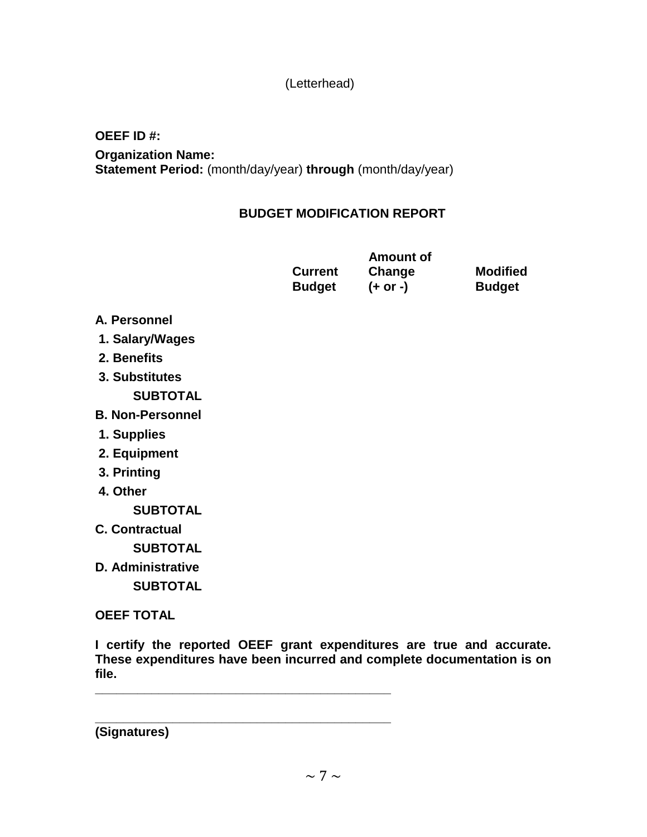### (Letterhead)

#### **OEEF ID #:**

**Organization Name: Statement Period:** (month/day/year) **through** (month/day/year)

### **BUDGET MODIFICATION REPORT**

|                | <b>Amount of</b> |                 |
|----------------|------------------|-----------------|
| <b>Current</b> | Change           | <b>Modified</b> |
| <b>Budget</b>  | $(+ or -)$       | <b>Budget</b>   |

#### **A. Personnel**

- **1. Salary/Wages**
- **2. Benefits**
- **3. Substitutes SUBTOTAL**
- **B. Non-Personnel**
- **1. Supplies**
- **2. Equipment**
- **3. Printing**
- **4. Other**

**SUBTOTAL**

**C. Contractual**

**SUBTOTAL**

**D. Administrative SUBTOTAL**

**OEEF TOTAL**

**I certify the reported OEEF grant expenditures are true and accurate. These expenditures have been incurred and complete documentation is on file.** 

**\_\_\_\_\_\_\_\_\_\_\_\_\_\_\_\_\_\_\_\_\_\_\_\_\_\_\_\_\_\_\_\_\_\_\_\_\_\_\_\_\_\_**

**\_\_\_\_\_\_\_\_\_\_\_\_\_\_\_\_\_\_\_\_\_\_\_\_\_\_\_\_\_\_\_\_\_\_\_\_\_\_\_\_\_\_**

**(Signatures)**